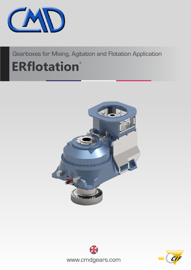

Gearboxes for Mixing, Agitation and Flotation Application

# **ERflotation**<sup>®</sup>





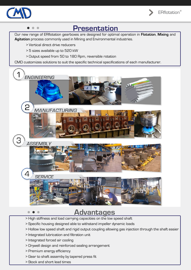





### **Advantages**

- > High stiffness and load carrying capacities on the low speed shaft
- > Specific housing designed able to withstand impeller dynamic loads
- > Hollow low speed shaft and rigid output coupling allowing gas injection through the shaft easier
- > Integrated lubrication and filtration unit
- > Integrated forced air cooling

 $\qquad \qquad \bullet$ 

- > Drywell design and reinforced sealing arrangement
- > Premium energy efficiency
- > Gear to shaft assemby by tapered press fit
- > Stock and short lead times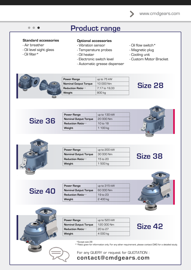### **Product range**

### **Standard accessories**

- Air breather
- Oil level sight glass
- Oil filter\*

#### **Optional accessories**

- Vibration sensor
- Temperature probes
- Oil heater
- Electronic switch level
- Automatic grease dispenser
- Oil flow switch\*
- Magnetic plug
- Cooling unit
- Custom Motor Bracket

**Size 28**



**Size 36**

| Power Range                  | up to 130 kW |
|------------------------------|--------------|
| <b>Nominal Output Torque</b> | 20 000 Nm    |
| <b>Reduction Ratio</b> **    | 10 to 18     |
| Weight                       | 1 100 kg     |



| <b>Power Range</b>           | up to 200 kW |
|------------------------------|--------------|
| <b>Nominal Output Torque</b> | 30.000 Nm    |
| <b>Reduction Ratio</b> **    | $15$ to $20$ |
| Weight                       | 1 500 kg     |





| <b>Power Range</b>           | up to 315 kW |
|------------------------------|--------------|
| <b>Nominal Output Torque</b> | 60.000 Nm    |
| Reduction Ratio**            | 19 to 23     |
| Weight                       | 2400 kg      |



**Size 42**



| <b>Power Range</b>           | up to 520 kW |
|------------------------------|--------------|
| <b>Nominal Output Torque</b> | 120 000 Nm   |
| Reduction Ratio**            | $20$ to $27$ |
| Weight                       | 4000 kg      |

\*Except size 28

\*\*Ratio given for information only. For any other requirement, please contact CMD for a detailed study.

For any QUERY or request for QUOTATION : **contact@cmdgears.com**